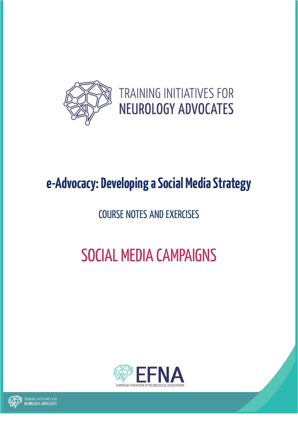

# **e-Advocacy: Developing a Social Media Strategy**

# COURSE NOTES AND EXERCISES

# SOCIAL MEDIA CAMPAIGNS



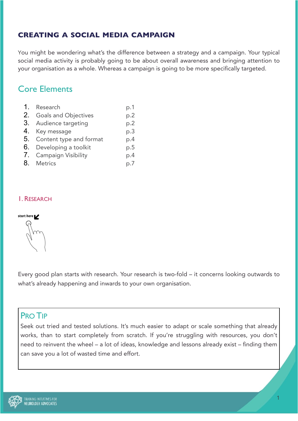# **CREATING A SOCIAL MEDIA CAMPAIGN**

You might be wondering what's the difference between a strategy and a campaign. Your typical social media activity is probably going to be about overall awareness and bringing attention to your organisation as a whole. Whereas a campaign is going to be more specifically targeted.

# Core Elements

| 1. | Research                    | p.1 |
|----|-----------------------------|-----|
| 2. | <b>Goals and Objectives</b> | p.2 |
|    | 3. Audience targeting       | p.2 |
|    | 4. Key message              | p.3 |
|    | 5. Content type and format  | p.4 |
| 6. | Developing a toolkit        | p.5 |
|    | 7. Campaign Visibility      | p.4 |
| 8. | <b>Metrics</b>              | p.7 |

# 1. RESEARCH

# start here

Every good plan starts with research. Your research is two-fold – it concerns looking outwards to what's already happening and inwards to your own organisation.

# PRO TIP

Seek out tried and tested solutions. It's much easier to adapt or scale something that already works, than to start completely from scratch. If you're struggling with resources, you don't need to reinvent the wheel – a lot of ideas, knowledge and lessons already exist – finding them can save you a lot of wasted time and effort.

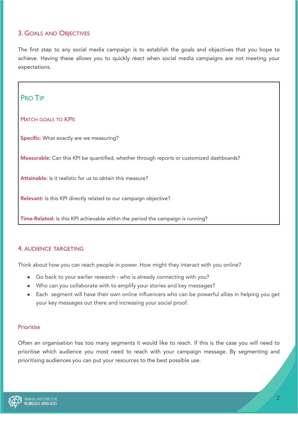# 3. GOALS AND OBJECTIVES

The first step to any social media campaign is to establish the goals and objectives that you hope to achieve. Having these allows you to quickly react when social media campaigns are not meeting your expectations.



# 4. AUDIENCE TARGETING

Think about how you can reach people in power. How might they interact with you online?

- Go back to your earlier research who is already connecting with you?
- Who can you collaborate with to amplify your stories and key messages?
- Each segment will have their own online influencers who can be powerful allies in helping you get your key messages out there and increasing your social proof.

#### Prioritise

Often an organisation has too many segments it would like to reach. If this is the case you will need to prioritise which audience you most need to reach with your campaign message. By segmenting and prioritising audiences you can put your resources to the best possible use.

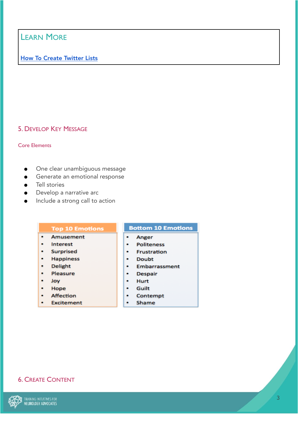# LEARN MORE

# [How To Create Twitter Lists](https://hcsmmonitor.com/2019/09/05/thursdaytip-how-to-create-twitter-lists/)

# 5. DEVELOP KEY MESSAGE

#### Core Elements

- One clear unambiguous message
- **•** Generate an emotional response
- Tell stories
- Develop a narrative arc
- Include a strong call to action

| <b>Top 10 Emotions</b> | <b>Bottom 10 Emotions</b> |
|------------------------|---------------------------|
| Amusement<br>۰         | Anger<br>۰                |
| Interest               | <b>Politeness</b><br>۰    |
| <b>Surprised</b>       | <b>Frustration</b><br>٠   |
| <b>Happiness</b>       | Doubt<br>٠                |
| <b>Delight</b>         | <b>Embarrassment</b>      |
| Pleasure               | <b>Despair</b><br>٠       |
| Joy                    | Hurt<br>۰                 |
| Hope                   | Guilt<br>٠                |
| Affection              | Contempt<br>۰             |
| <b>Excitement</b>      | Shame                     |

# 6. CREATE CONTENT

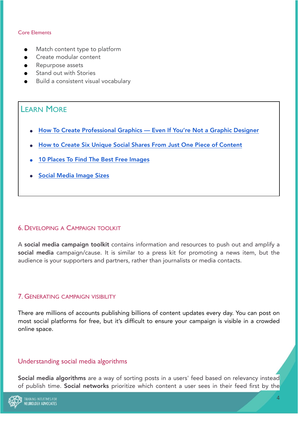#### Core Elements

- Match content type to platform
- Create modular content
- Repurpose assets
- Stand out with Stories
- Build a consistent visual vocabulary

# LEARN MORE

- **●** [How To Create Professional Graphics Even If You're Not a Graphic Designer](https://marieennisoconnor.medium.com/how-to-create-professional-graphics-even-if-youre-not-a-graphic-designer-a8fc1bad85bd)
- **●** [How to Create Six Unique Social Shares From Just One Piece of Content](https://marieennisoconnor.medium.com/how-to-create-six-unique-social-shares-from-just-one-piece-of-content-79a1eb6aced4)
- **10 Places To Find The Best Free Images**
- **●** [Social Media Image Sizes](https://marieennisoconnor.medium.com/social-media-image-sizes-your-2020-reference-guide-69e825d319c4)

# 6. DEVELOPING A CAMPAIGN TOOLKIT

A social media campaign toolkit contains information and resources to push out and amplify a social media campaign/cause. It is similar to a press kit for promoting a news item, but the audience is your supporters and partners, rather than journalists or media contacts.

#### 7. GENERATING CAMPAIGN VISIBILITY

There are millions of accounts publishing billions of content updates every day. You can post on most social platforms for free, but it's difficult to ensure your campaign is visible in a crowded online space.

# Understanding social media algorithms

Social media algorithms are a way of sorting posts in a users' feed based on relevancy instead of publish time. Social networks prioritize which content a user sees in their feed first by the

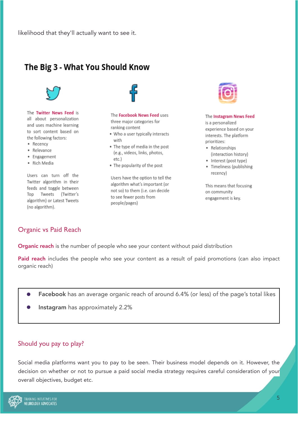# The Big 3 - What You Should Know



The Twitter News Feed is all about personalization and uses machine learning to sort content based on the following factors:

- Recency
- · Relevance
- Engagement
- · Rich Media

Users can turn off the Twitter algorithm in their feeds and toggle between Top Tweets (Twitter's algorithm) or Latest Tweets (no algorithm).

The Facebook News Feed uses three major categories for ranking content

- . Who a user typically interacts with
- . The type of media in the post (e.g., videos, links, photos, etc.)
- . The popularity of the post

Users have the option to tell the algorithm what's important (or not so) to them (i.e. can decide to see fewer posts from people/pages)



#### The Instagram News Feed

is a personalized experience based on your interests. The platform prioritizes:

- Relationships (interaction history)
- Interest (post type)
- · Timeliness (publishing recency)

This means that focusing on community engagement is key.

# Organic vs Paid Reach

**Organic reach** is the number of people who see your content without paid distribution

Paid reach includes the people who see your content as a result of paid promotions (can also impact organic reach)

- Facebook has an average organic reach of around 6.4% (or less) of the page's total likes
- Instagram has approximately 2.2%

# Should you pay to play?

Social media platforms want you to pay to be seen. Their business model depends on it. However, the decision on whether or not to pursue a paid social media strategy requires careful consideration of your overall objectives, budget etc.

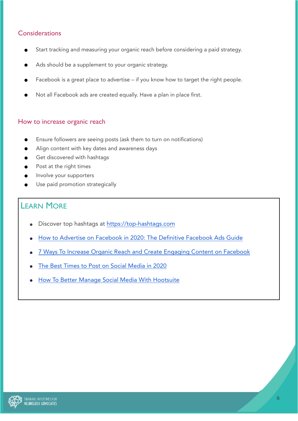# **Considerations**

- Start tracking and measuring your organic reach before considering a paid strategy.
- Ads should be a supplement to your organic strategy.
- Facebook is a great place to advertise if you know how to target the right people.
- Not all Facebook ads are created equally. Have a plan in place first.

#### How to increase organic reach

- Ensure followers are seeing posts (ask them to turn on notifications)
- Align content with key dates and awareness days
- Get discovered with hashtags
- Post at the right times
- Involve your supporters
- Use paid promotion strategically

# LEARN MORE

- Discover top hashtags at<https://top-hashtags.com>
- [How to Advertise on Facebook in 2020: The Definitive Facebook Ads Guide](https://blog.hootsuite.com/how-to-advertise-on-facebook/)
- [7 Ways To Increase Organic Reach and Create Engaging Content on Facebook](https://marieennisoconnor.medium.com/7-ways-to-increase-organic-reach-and-create-engaging-content-on-facebook-5f2be9bb3007)
- [The Best Times to Post on Social Media in 2020](https://sproutsocial.com/insights/best-times-to-post-on-social-media/)
- [How To Better Manage Social Media With Hootsuite](https://hcsmmonitor.com/2020/03/07/how-to-better-manage-social-media-with-hootsuite/)